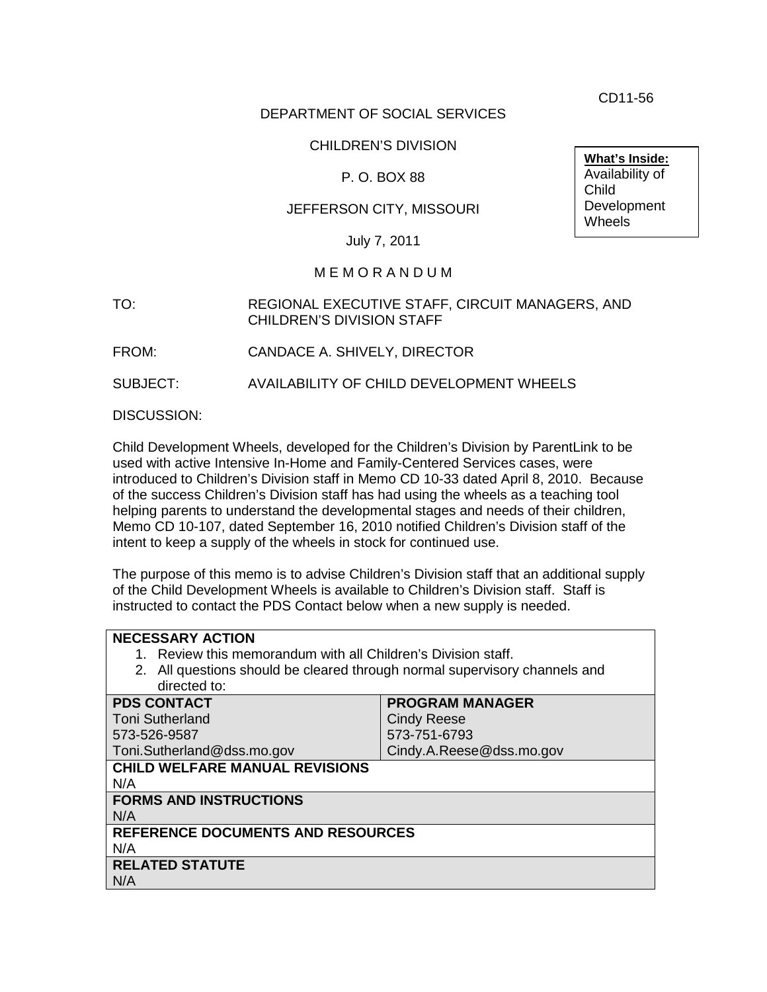CD11-56

# DEPARTMENT OF SOCIAL SERVICES

# CHILDREN'S DIVISION

# P. O. BOX 88

# JEFFERSON CITY, MISSOURI

July 7, 2011

### M E M O R A N D U M

### TO: REGIONAL EXECUTIVE STAFF, CIRCUIT MANAGERS, AND CHILDREN'S DIVISION STAFF

FROM: CANDACE A. SHIVELY, DIRECTOR

SUBJECT: AVAILABILITY OF CHILD DEVELOPMENT WHEELS

DISCUSSION:

Child Development Wheels, developed for the Children's Division by ParentLink to be used with active Intensive In-Home and Family-Centered Services cases, were introduced to Children's Division staff in Memo CD 10-33 dated April 8, 2010. Because of the success Children's Division staff has had using the wheels as a teaching tool helping parents to understand the developmental stages and needs of their children, Memo CD 10-107, dated September 16, 2010 notified Children's Division staff of the intent to keep a supply of the wheels in stock for continued use.

The purpose of this memo is to advise Children's Division staff that an additional supply of the Child Development Wheels is available to Children's Division staff. Staff is instructed to contact the PDS Contact below when a new supply is needed.

| <b>NECESSARY ACTION</b>                                                    |                          |
|----------------------------------------------------------------------------|--------------------------|
| 1. Review this memorandum with all Children's Division staff.              |                          |
| 2. All questions should be cleared through normal supervisory channels and |                          |
| directed to:                                                               |                          |
| <b>PDS CONTACT</b>                                                         | <b>PROGRAM MANAGER</b>   |
| <b>Toni Sutherland</b>                                                     | <b>Cindy Reese</b>       |
| 573-526-9587                                                               | 573-751-6793             |
| Toni.Sutherland@dss.mo.gov                                                 | Cindy.A.Reese@dss.mo.gov |
| <b>CHILD WELFARE MANUAL REVISIONS</b>                                      |                          |
| N/A                                                                        |                          |
| <b>FORMS AND INSTRUCTIONS</b>                                              |                          |
| N/A                                                                        |                          |
| <b>REFERENCE DOCUMENTS AND RESOURCES</b>                                   |                          |
| N/A                                                                        |                          |
| <b>RELATED STATUTE</b>                                                     |                          |
| N/A                                                                        |                          |
|                                                                            |                          |

**What's Inside:** Availability of Child **Development Wheels**